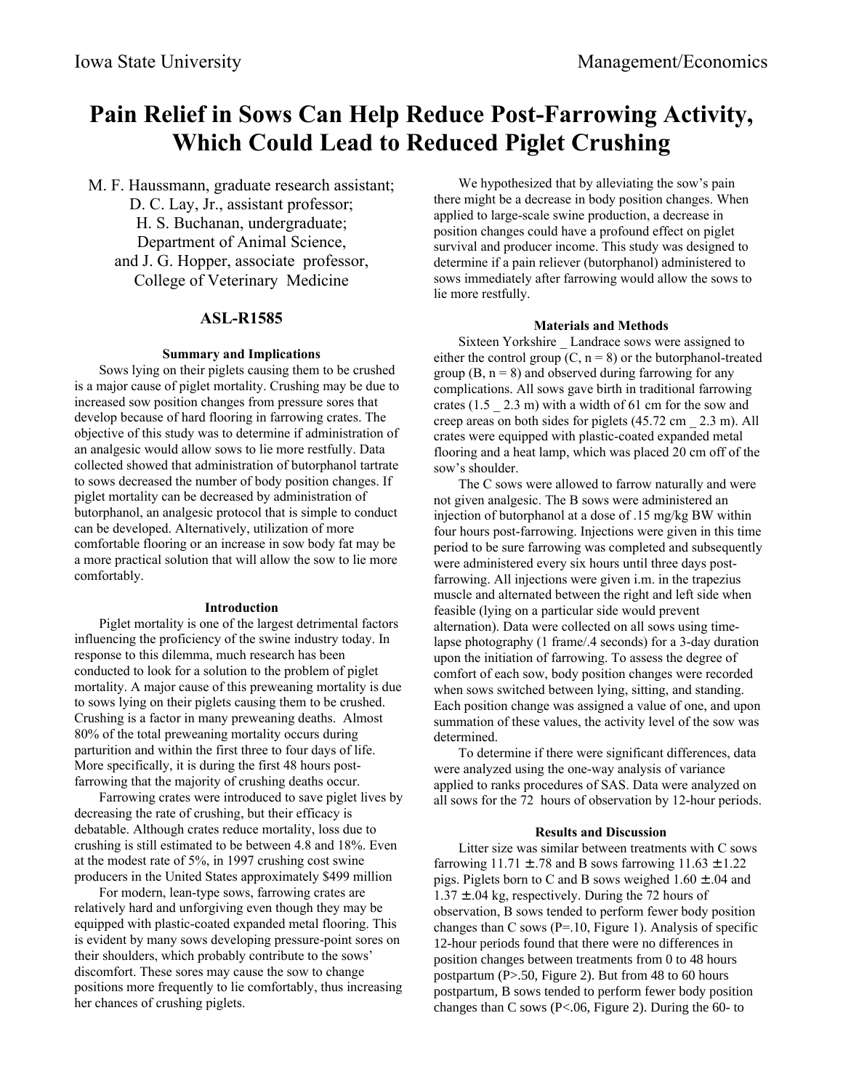# **Pain Relief in Sows Can Help Reduce Post-Farrowing Activity, Which Could Lead to Reduced Piglet Crushing**

M. F. Haussmann, graduate research assistant; D. C. Lay, Jr., assistant professor; H. S. Buchanan, undergraduate; Department of Animal Science, and J. G. Hopper, associate professor, College of Veterinary Medicine

## **ASL-R1585**

#### **Summary and Implications**

Sows lying on their piglets causing them to be crushed is a major cause of piglet mortality. Crushing may be due to increased sow position changes from pressure sores that develop because of hard flooring in farrowing crates. The objective of this study was to determine if administration of an analgesic would allow sows to lie more restfully. Data collected showed that administration of butorphanol tartrate to sows decreased the number of body position changes. If piglet mortality can be decreased by administration of butorphanol, an analgesic protocol that is simple to conduct can be developed. Alternatively, utilization of more comfortable flooring or an increase in sow body fat may be a more practical solution that will allow the sow to lie more comfortably.

#### **Introduction**

Piglet mortality is one of the largest detrimental factors influencing the proficiency of the swine industry today. In response to this dilemma, much research has been conducted to look for a solution to the problem of piglet mortality. A major cause of this preweaning mortality is due to sows lying on their piglets causing them to be crushed. Crushing is a factor in many preweaning deaths. Almost 80% of the total preweaning mortality occurs during parturition and within the first three to four days of life. More specifically, it is during the first 48 hours postfarrowing that the majority of crushing deaths occur.

Farrowing crates were introduced to save piglet lives by decreasing the rate of crushing, but their efficacy is debatable. Although crates reduce mortality, loss due to crushing is still estimated to be between 4.8 and 18%. Even at the modest rate of 5%, in 1997 crushing cost swine producers in the United States approximately \$499 million

For modern, lean-type sows, farrowing crates are relatively hard and unforgiving even though they may be equipped with plastic-coated expanded metal flooring. This is evident by many sows developing pressure-point sores on their shoulders, which probably contribute to the sows' discomfort. These sores may cause the sow to change positions more frequently to lie comfortably, thus increasing her chances of crushing piglets.

We hypothesized that by alleviating the sow's pain there might be a decrease in body position changes. When applied to large-scale swine production, a decrease in position changes could have a profound effect on piglet survival and producer income. This study was designed to determine if a pain reliever (butorphanol) administered to sows immediately after farrowing would allow the sows to lie more restfully.

### **Materials and Methods**

Sixteen Yorkshire \_ Landrace sows were assigned to either the control group  $(C, n = 8)$  or the butorphanol-treated group  $(B, n = 8)$  and observed during farrowing for any complications. All sows gave birth in traditional farrowing crates  $(1.5 \t2.3 \t m)$  with a width of 61 cm for the sow and creep areas on both sides for piglets (45.72 cm \_ 2.3 m). All crates were equipped with plastic-coated expanded metal flooring and a heat lamp, which was placed 20 cm off of the sow's shoulder.

The C sows were allowed to farrow naturally and were not given analgesic. The B sows were administered an injection of butorphanol at a dose of .15 mg/kg BW within four hours post-farrowing. Injections were given in this time period to be sure farrowing was completed and subsequently were administered every six hours until three days postfarrowing. All injections were given i.m. in the trapezius muscle and alternated between the right and left side when feasible (lying on a particular side would prevent alternation). Data were collected on all sows using timelapse photography (1 frame/.4 seconds) for a 3-day duration upon the initiation of farrowing. To assess the degree of comfort of each sow, body position changes were recorded when sows switched between lying, sitting, and standing. Each position change was assigned a value of one, and upon summation of these values, the activity level of the sow was determined.

 To determine if there were significant differences, data were analyzed using the one-way analysis of variance applied to ranks procedures of SAS. Data were analyzed on all sows for the 72 hours of observation by 12-hour periods.

#### **Results and Discussion**

Litter size was similar between treatments with C sows farrowing  $11.71 \pm .78$  and B sows farrowing  $11.63 \pm 1.22$ pigs. Piglets born to C and B sows weighed  $1.60 \pm .04$  and  $1.37 \pm .04$  kg, respectively. During the 72 hours of observation, B sows tended to perform fewer body position changes than C sows ( $P = 10$ , Figure 1). Analysis of specific 12-hour periods found that there were no differences in position changes between treatments from 0 to 48 hours postpartum (P>.50, Figure 2). But from 48 to 60 hours postpartum, B sows tended to perform fewer body position changes than C sows (P<.06, Figure 2). During the 60- to